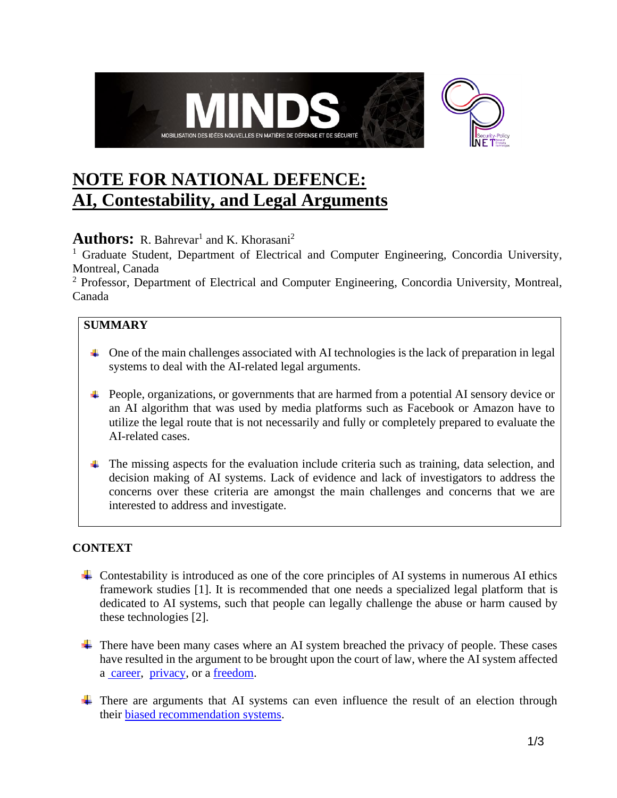

# **NOTE FOR NATIONAL DEFENCE: AI, Contestability, and Legal Arguments**

# **Authors:** R. Bahrevar<sup>1</sup> and K. Khorasani<sup>2</sup>

<sup>1</sup> Graduate Student, Department of Electrical and Computer Engineering, Concordia University, Montreal, Canada

<sup>2</sup> Professor, Department of Electrical and Computer Engineering, Concordia University, Montreal, Canada

## **SUMMARY**

- $\Box$  One of the main challenges associated with AI technologies is the lack of preparation in legal systems to deal with the AI-related legal arguments.
- People, organizations, or governments that are harmed from a potential AI sensory device or an AI algorithm that was used by media platforms such as Facebook or Amazon have to utilize the legal route that is not necessarily and fully or completely prepared to evaluate the AI-related cases.
- The missing aspects for the evaluation include criteria such as training, data selection, and decision making of AI systems. Lack of evidence and lack of investigators to address the concerns over these criteria are amongst the main challenges and concerns that we are interested to address and investigate.

### **CONTEXT**

- $\overline{\phantom{a}}$  Contestability is introduced as one of the core principles of AI systems in numerous AI ethics framework studies [1]. It is recommended that one needs a specialized legal platform that is dedicated to AI systems, such that people can legally challenge the abuse or harm caused by these technologies [2].
- $\pm$  There have been many cases where an AI system breached the privacy of people. These cases have resulted in the argument to be brought upon the court of law, where the AI system affected a [career,](https://www.courthousenews.com/houston-schools-must-face-teacher-evaluation-lawsuit/) [privacy,](https://www.nytimes.com/2020/05/28/technology/clearview-ai-privacy-lawsuit.html) or a [freedom.](https://www.theatlantic.com/technology/archive/2018/01/equivant-compas-algorithm/550646/)
- $\ddot{\phantom{1}}$  There are arguments that AI systems can even influence the result of an election through their [biased recommendation systems.](https://www.intelligence.senate.gov/sites/default/files/documents/Report_Volume2.pdf)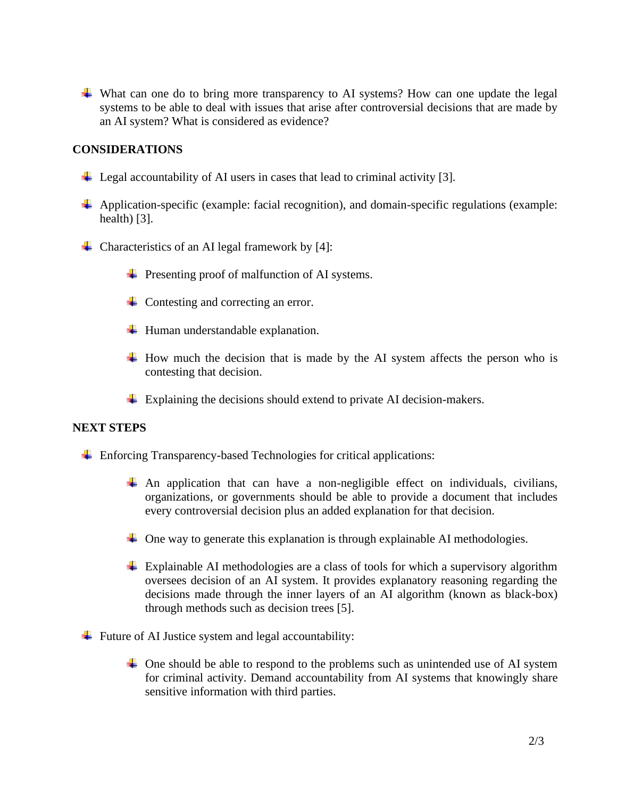What can one do to bring more transparency to AI systems? How can one update the legal systems to be able to deal with issues that arise after controversial decisions that are made by an AI system? What is considered as evidence?

#### **CONSIDERATIONS**

- $\perp$  Legal accountability of AI users in cases that lead to criminal activity [3].
- Application-specific (example: facial recognition), and domain-specific regulations (example: health) [3].
- $\overline{\phantom{a}}$  Characteristics of an AI legal framework by [4]:
	- $\div$  Presenting proof of malfunction of AI systems.
	- $\overline{\phantom{a}}$  Contesting and correcting an error.
	- $\downarrow$  Human understandable explanation.
	- $\overline{\text{+}}$  How much the decision that is made by the AI system affects the person who is contesting that decision.
	- $\perp$  Explaining the decisions should extend to private AI decision-makers.

#### **NEXT STEPS**

- $\overline{\phantom{a}}$  Enforcing Transparency-based Technologies for critical applications:
	- $\#$  An application that can have a non-negligible effect on individuals, civilians, organizations, or governments should be able to provide a document that includes every controversial decision plus an added explanation for that decision.
	- $\perp$  One way to generate this explanation is through explainable AI methodologies.
	- Explainable AI methodologies are a class of tools for which a supervisory algorithm oversees decision of an AI system. It provides explanatory reasoning regarding the decisions made through the inner layers of an AI algorithm (known as black-box) through methods such as decision trees [5].
- $\overline{\phantom{a}}$  Future of AI Justice system and legal accountability:
	- $\overline{\phantom{a}}$  One should be able to respond to the problems such as unintended use of AI system for criminal activity. Demand accountability from AI systems that knowingly share sensitive information with third parties.